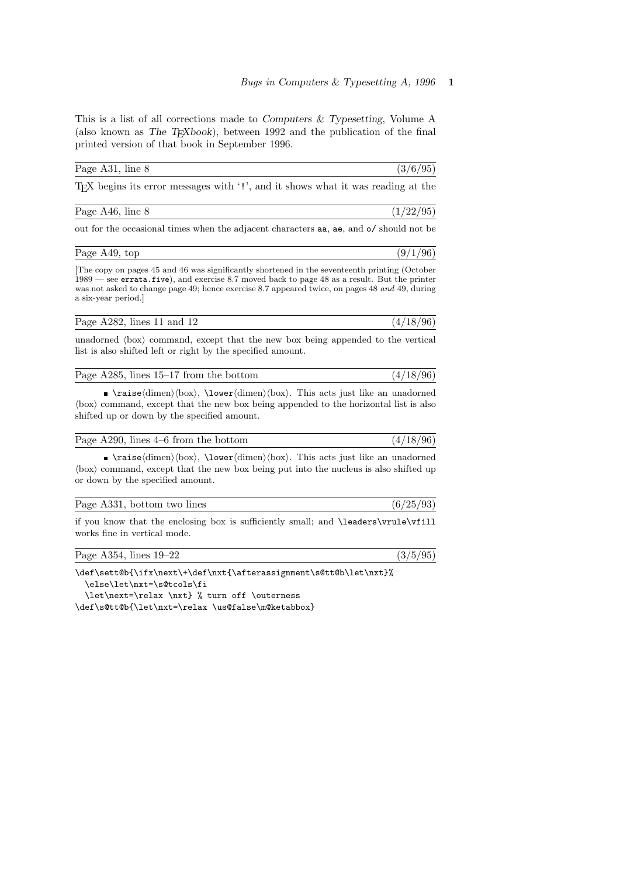This is a list of all corrections made to Computers & Typesetting, Volume A (also known as The T<sub>E</sub>Xbook), between 1992 and the publication of the final printed version of that book in September 1996.

| Page A31, line 8 | (3/6/95) |
|------------------|----------|
|------------------|----------|

TEX begins its error messages with '!', and it shows what it was reading at the

| Page A46, line 8 | (1/22/95) |
|------------------|-----------|
|                  |           |

out for the occasional times when the adjacent characters aa, ae, and o/ should not be

| Page A49, top | (96)<br>$\alpha/$ |
|---------------|-------------------|
|               |                   |

[The copy on pages 45 and 46 was significantly shortened in the seventeenth printing (October 1989 — see errata.five), and exercise 8.7 moved back to page 48 as a result. But the printer was not asked to change page 49; hence exercise 8.7 appeared twice, on pages 48 and 49, during a six-year period.]

| Page A282, lines $11$ and $12$ | (4/18/96) |
|--------------------------------|-----------|
|--------------------------------|-----------|

unadorned  $\langle$ box $\rangle$  command, except that the new box being appended to the vertical list is also shifted left or right by the specified amount.

| Page A285, lines 15–17 from the bottom | (4/18/96) |
|----------------------------------------|-----------|
|                                        |           |

 $\rightarrow \r{time}$  \raise $\dim$ en $\boxtimes$ ; \lower $\dim$ en $\boxtimes$ ; This acts just like an unadorned  $\langle$ box $\rangle$  command, except that the new box being appended to the horizontal list is also shifted up or down by the specified amount.

| Page A290, lines 4–6 from the bottom | (4/18/96) |
|--------------------------------------|-----------|
|--------------------------------------|-----------|

 $\rightarrow \text{times}(dimen(\text{down})\text{box}).$  This acts just like an unadorned  $\langle$ box $\rangle$  command, except that the new box being put into the nucleus is also shifted up or down by the specified amount.

| Page A331, bottom two lines | (6/25/93) |
|-----------------------------|-----------|
|-----------------------------|-----------|

if you know that the enclosing box is sufficiently small; and \leaders\vrule\vfill works fine in vertical mode.

| (3/5/95)<br>Page A354, lines 19–22 |  |  |  |  |  |
|------------------------------------|--|--|--|--|--|
|------------------------------------|--|--|--|--|--|

\def\sett@b{\ifx\next\+\def\nxt{\afterassignment\s@tt@b\let\nxt}%

\else\let\nxt=\s@tcols\fi

\let\next=\relax \nxt} % turn off \outerness

\def\s@tt@b{\let\nxt=\relax \us@false\m@ketabbox}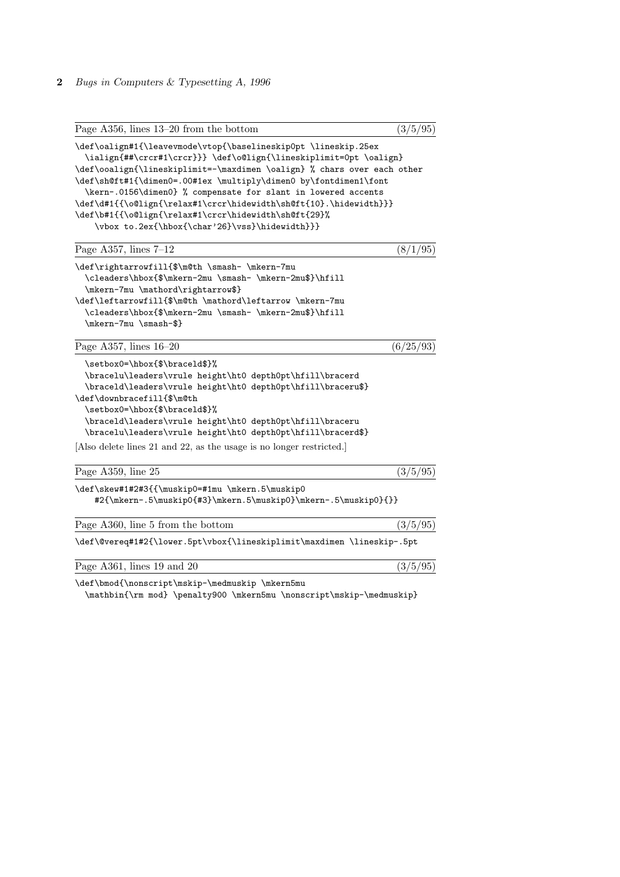2 Bugs in Computers & Typesetting A, 1996

| Page A356, lines 13–20 from the bottom                                                                                                                                                                                                                                                                                                                                                                                                                                                                                             | (3/5/95)  |
|------------------------------------------------------------------------------------------------------------------------------------------------------------------------------------------------------------------------------------------------------------------------------------------------------------------------------------------------------------------------------------------------------------------------------------------------------------------------------------------------------------------------------------|-----------|
| \def\oalign#1{\leavevmode\vtop{\baselineskip0pt \lineskip.25ex<br>\ialign{##\crcr#1\crcr}}} \def\o@lign{\lineskiplimit=0pt \oalign}<br>\def\ooalign{\lineskiplimit=-\maxdimen \oalign} % chars over each other<br>\def\sh@ft#1{\dimen0=.00#1ex \multiply\dimen0 by\fontdimen1\font<br>\kern-.0156\dimen0} % compensate for slant in lowered accents<br>\def\d#1{{\o@lign{\relax#1\crcr\hidewidth\sh@ft{10}.\hidewidth}}}<br>\def\b#1{{\o@lign{\relax#1\crcr\hidewidth\sh@ft{29}%<br>\vbox to.2ex{\hbox{\char'26}\vss}\hidewidth}}} |           |
| Page A357, lines $7-12$                                                                                                                                                                                                                                                                                                                                                                                                                                                                                                            | (8/1/95)  |
| \def\rightarrowfill{\$\m@th \smash- \mkern-7mu<br>\cleaders\hbox{\$\mkern-2mu \smash- \mkern-2mu\$}\hfill<br>\mkern-7mu \mathord\rightarrow\$}<br>\def\leftarrowfill{\$\m@th \mathord\leftarrow \mkern-7mu<br>\cleaders\hbox{\$\mkern-2mu \smash- \mkern-2mu\$}\hfill<br>\mkern-7mu \smash-\$}                                                                                                                                                                                                                                     |           |
| Page A357, lines $16-20$                                                                                                                                                                                                                                                                                                                                                                                                                                                                                                           | (6/25/93) |
| \setbox0=\hbox{\$\braceld\$}%<br>\bracelu\leaders\vrule height\ht0 depth0pt\hfill\bracerd<br>\braceld\leaders\vrule height\ht0 depth0pt\hfill\braceru\$}<br>\def\downbracefill{\$\m@th<br>\setbox0=\hbox{\$\braceld\$}%<br>\braceld\leaders\vrule height\ht0 depth0pt\hfill\braceru<br>\bracelu\leaders\vrule height\ht0 depth0pt\hfill\bracerd\$}                                                                                                                                                                                 |           |
| Also delete lines 21 and 22, as the usage is no longer restricted.                                                                                                                                                                                                                                                                                                                                                                                                                                                                 |           |
| Page A359, line 25                                                                                                                                                                                                                                                                                                                                                                                                                                                                                                                 | (3/5/95)  |
| \def\skew#1#2#3{{\muskip0=#1mu \mkern.5\muskip0<br>#2{\mkern-.5\muskip0{#3}\mkern.5\muskip0}\mkern-.5\muskip0}{}}                                                                                                                                                                                                                                                                                                                                                                                                                  |           |
| Page A360, line 5 from the bottom                                                                                                                                                                                                                                                                                                                                                                                                                                                                                                  | (3/5/95)  |
| \def\@vereq#1#2{\lower.5pt\vbox{\lineskiplimit\maxdimen \lineskip-.5pt                                                                                                                                                                                                                                                                                                                                                                                                                                                             |           |
| Page A361, lines 19 and 20                                                                                                                                                                                                                                                                                                                                                                                                                                                                                                         | (3/5/95)  |
| \def\bmod{\nonscript\mskip-\medmuskip \mkern5mu<br>$\cdots$ $\cdots$ $\cdots$ $\cdots$ $\cdots$ $\cdots$ $\cdots$ $\cdots$ $\cdots$ $\cdots$<br>the contract of the contract of the contract of the contract of the contract of the contract of the contract of                                                                                                                                                                                                                                                                    |           |

\mathbin{\rm mod} \penalty900 \mkern5mu \nonscript\mskip-\medmuskip}